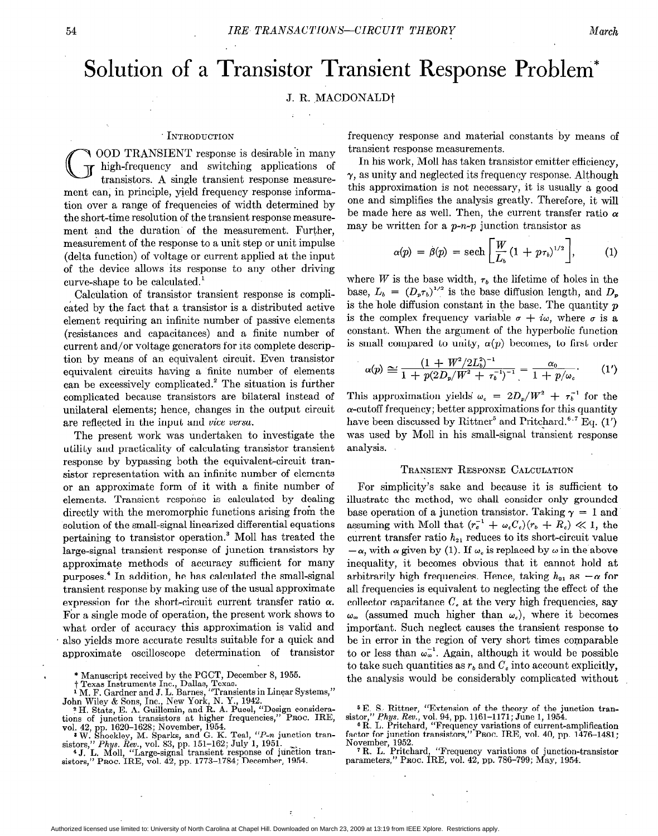# Solution of a Transistor Transient Response Problem\*

## J. R. MACDONALD<sup>†</sup>

#### INTRODUCTION

/7 OOD TRANSIENT response is desirable 'in many I high-frequency and switching applications of transistors. A single transient response measurement can, in principle, yield frequency response information over a range of frequencies of width determined by the short-time resolution of the transient response measurement and the duration of the measurement. Further, measurement of the response to a unit step or unit impulse (delta function) of voltage or current applied at the input of the device allows its response to any other driving curve-shape to be calculated.'

Calculation of transistor transient response is complicated by the fact that a transistor is a distributed active element requiring an infinite number of passive elements (resistances and capacitances) and a finite number of current and/or voltage generators for its complete description by means of an equivalent circuit. Even transistor equivalent circuits having a finite number of elements can be excessively complicated.' The situation is further complicated because transistors are bilateral instead of unilateral elements; hence, changes in the output circuit are reflected in the input and vice versa.

The present work was undertaken to investigate the utility and practicality of calculating transistor transient response by bypassing both the equivalent-circuit transistor representation with an infinite number of elements or an approximate form of it with a finite number of elements. Transient response is calculated by dealing directly with the meromorphic functions arising from the solution of the small-signal linearized differential equations pertaining to transistor operation.3 Moll has treated the large-signal transient response of junction transistors by approximate methods of accuracy sufficient for many purposes.4 In addition, he has calculated the small-signal transient response by making use of the usual approximate expression for the short-circuit current transfer ratio  $\alpha$ . For a single mode of operation, the present work shows to what order of accuracy this approximation is valid and also yields more accurate results suitable for a quick and approximate oscilloscope determination of transistor

\* Manuscript received by the PGCT, December 8, 1955.

<sup>2</sup> H. Statz, E. A. Guillemin, and R. A. Pucel, "Design considerations of junction transistors at higher frequencies," Proc. IRE

vol. 42, pp. 1620–1628; November, 1954.<br>  $*$  W. Shockley, M. Sparks, and G. K. Teal, "*P-n* junction transistors," *Phys. Rev.*, vol. 83, pp. 151–162; July 1, 1951.<br>  $*$  J. L. Moll, "Large-signal transient response of jun

frequency response and material constants by means of transient response measurements.

In his work, Moll has taken transistor emitter efficiency,  $\gamma$ , as unity and neglected its frequency response. Although this approximation is not necessary, it is usually a good one and simplifies the analysis greatly. Therefore, it will be made here as well. Then, the current transfer ratio  $\alpha$ may be written for a  $p-n-p$  junction transistor as

$$
\alpha(p) = \beta(p) = \operatorname{sech}\left[\frac{W}{L_b}(1 + p\tau_b)^{1/2}\right], \quad (1)
$$

where W is the base width,  $\tau_b$  the lifetime of holes in the base,  $L_b = (D_p \tau_b)^{1/2}$  is the base diffusion length, and  $D_p$ is the hole diffusion constant in the base. The quantity  $p$ is the complex frequency variable  $\sigma + i\omega$ , where  $\sigma$  is a constant. When the argument of the hyperbolic function is small compared to unity,  $\alpha(p)$  becomes, to first order

$$
\alpha(p) \cong \frac{(1+W^2/2L_b^2)^{-1}}{1+p(2D_p/W^2+r_b^{-1})^{-1}} = \frac{\alpha_0}{1+p/\omega_c}.
$$
 (1')

This approximation yields  $\omega_c = 2D_p/W^2 + \tau_b^{-1}$  for the  $\alpha$ -cutoff frequency; better approximations for this quantity have been discussed by Rittner<sup>5</sup> and Pritchard.<sup>6,7</sup> Eq.  $(1')$ was used by Moll in his small-signal transient response analysis.

### TRANSIENT RESPONSE CALCULATION

For simplicity's sake and because it is sufficient to illustrate the method, we shall consider only grounded base operation of a junction transistor. Taking  $\gamma = 1$  and assuming with Moll that  $(r_c^{-1} + \omega_c C_c)(r_b + R_c) \ll 1$ , the current transfer ratio  $h_{21}$  reduces to its short-circuit value  $-\alpha$ , with  $\alpha$  given by (1). If  $\omega_c$  is replaced by  $\omega$  in the above inequality, it becomes obvious that it cannot hold at arbitrarily high frequencies. Hence, taking  $h_{21}$  as  $-\alpha$  for all frequencies is equivalent to neglecting the effect of the collector capacitance  $C<sub>c</sub>$  at the very high frequencies, say  $\omega_{\infty}$  (assumed much higher than  $\omega_c$ ), where it becomes important. Such neglect causes the transient response to be in error in the region of very short times comparable to or less than  $\omega_{\infty}^{-1}$ . Again, although it would be possible to take such quantities as  $r<sub>b</sub>$  and  $C<sub>c</sub>$  into account explicitly, the analysis would be considerably complicated without

November, 1952.<br><sup>7</sup> R. L. Pritchard, "Frequency variations of junction-transis parameters," PROC. IRE, vol. 42, pp. 786-799; May, 1954.

t Texas Instruments Inc., Dallas, Texas. 1 M. F. Gardner and J. L. Barnes, "Transients in Linear Systems," John Wiley & Sons, Inc., New York, N. Y., 1942.

<sup>&</sup>lt;sup>5</sup> E. S. Rittner, "Extension of the theory of the junction transistor," Phys. Rev., vol. 94, pp. 1161-1171; June 1, 1954.

<sup>6</sup> R. L. Pritchard, "Frequency variations of current-amplification factor for junction transistors," PROC. IRE, vol. 40, pp. 1476-1481;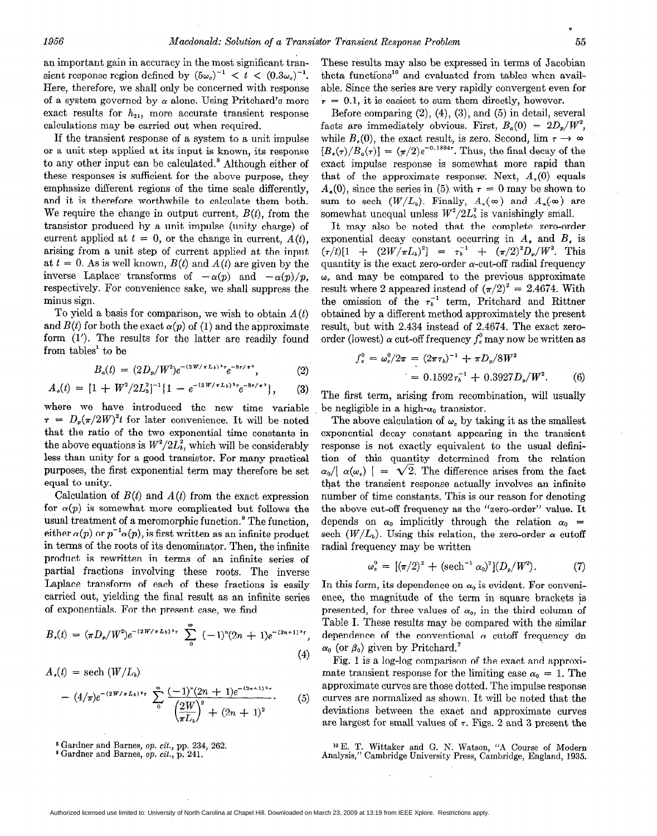an important gain in accuracy in the most significant transient response region defined by  $(5\omega_c)^{-1} < t < (0.3\omega_c)^{-1}$ . Here, therefore, we shall only be concerned with response of a system governed by  $\alpha$  alone. Using Pritchard's more exact results for  $h_{21}$ , more accurate transient response calculations may be carried out when required.

If the transient response of a system to a unit impulse or a unit step applied at its input is known, its response to any other input can be calculated.\* Although either of these responses is sufficient for the above purpose, they emphasize different regions of the time scale differently, and it is therefore worthwhile to calculate them both. We require the change in output current,  $B(t)$ , from the transistor produced by a unit impulse (unity charge) of current applied at  $t = 0$ , or the change in current,  $A(t)$ . arising from a unit step of current applied at the input at  $t = 0$ . As is well known,  $B(t)$  and  $A(t)$  are given by the inverse Laplace transforms of  $-\alpha(p)$  and  $-\alpha(p)/p$ , respectively. For convenience sake, we shall suppress the minus sign.

To yield a basis for comparison, we wish to obtain  $A(t)$ and  $B(t)$  for both the exact  $\alpha(p)$  of (1) and the approximate form (I'). The results for the latter are readily found from tables' to be

$$
B_{a}(t) = (2D_{p}/W^{2})e^{-(2W/\pi L_{b})^{2}\tau}e^{-8\tau/\pi^{2}}, \qquad (2)
$$

$$
A_{\rho}(t) = [1 + W^2/2L_b^2]^{-1} \{1 - e^{-(2W/\pi L_b)^2 \tau} e^{-8\tau/\pi^2} \}, \qquad (3)
$$

where we have introduced the new time variable  $\tau = D_p(\pi/2W)^2 t$  for later convenience. It will be noted that the ratio of the two exponential time constants in the above equations is  $W^2/2L_b^2$ , which will be considerably less than unity for a good transistor. For many practical purposes, the first exponential term may therefore be set equal to unity.

Calculation of  $B(t)$  and  $A(t)$  from the exact expression for  $\alpha(p)$  is somewhat more complicated but follows the usual treatment of a meromorphic function.<sup>9</sup> The function. either  $\alpha(p)$  or  $p^{-1}\alpha(p)$ , is first written as an infinite product in terms of the roots of its denominator. Then, the infinite product is rewritten in terms of an infinite series of partial fractions involving these roots. The inverse Laplace transform of each of these fractions is easily carried out, yielding the final result as an infinite series of exponentials. For the present case, we find

$$
B_{\bullet}(t) = (\pi D_{p}/W^{2})e^{-(2W/\pi L_{b})^{2}\tau} \sum_{0}^{\infty} (-1)^{n}(2n+1)e^{-(2n+1)^{2}\tau},
$$
\n(4)

$$
A_{\epsilon}(t) = \text{sech}(W/L_{b})
$$
  
 
$$
- (4/\pi)e^{-(2W/\pi L_{b})^{2}r} \sum_{0}^{\infty} \frac{(-1)^{n}(2n+1)e^{-(2n+1)^{2}r}}{\left(\frac{2W}{\pi L_{b}}\right)^{2} + (2n+1)^{2}}.
$$
 (5)

8 Gardner and Barnes, op. cit., pp. 234, 262.

 $^{\circ}$  Gardner and Barnes, op.  $cit., p. 241.$ 

These results may also be expressed in terms of Jacobian theta functions<sup>10</sup> and evaluated from tables when available. Since the series are very rapidly convergent even for  $\tau = 0.1$ , it is easiest to sum them directly, however.

Before comparing  $(2)$ ,  $(4)$ ,  $(3)$ , and  $(5)$  in detail, several facts are immediately obvious. First,  $B_q(0) = 2D_p/W^2$ . while  $B_{\epsilon}(0)$ , the exact result, is zero. Second,  $\lim \tau \to \infty$  $[B_{\epsilon}(\tau)/B_{a}(\tau)] = (\pi/2)e^{-0.1894\tau}$ . Thus, the final decay of the exact impulse response is somewhat more rapid than that of the approximate response. Next,  $A_{\epsilon}(0)$  equals  $A_{\alpha}(0)$ , since the series in (5) with  $\tau = 0$  may be shown to sum to sech  $(W/L<sub>b</sub>)$ . Finally,  $A<sub>a</sub>(\infty)$  and  $A<sub>a</sub>(\infty)$  are somewhat unequal unless  $W^2/2L_b^2$  is vanishingly small.

It may also be noted that the complete zero-order exponential decay constant occurring in  $A_{\epsilon}$  and  $B_{\epsilon}$  is  $(\tau/t)[1 + (2W/\pi L_b)^2] = \tau_b^{-1} + (\pi/2)^2 D_r/W^2$ . This quantity is the exact zero-order  $\alpha$ -cut-off radial frequency  $\omega_c$  and may be compared to the previous approximate result where 2 appeared instead of  $(\pi/2)^2 = 2.4674$ . With the omission of the  $\tau_b^{-1}$  term, Pritchard and Rittner obtained by a different method approximately the present result, but with 2.434 instead of 2.4674. The exact zeroorder (lowest)  $\alpha$  cut-off frequency  $f_c^0$  may now be written as

$$
f_e^0 = \omega_e^0 / 2\pi = (2\pi \tau_b)^{-1} + \pi D_p / 8W^2
$$
  
= 0.1592  $\tau_b^{-1} + 0.3927 D_p / W^2$ . (6)

The first term, arising from recombination, will usually be negligible in a high- $\alpha_0$  transistor.

The above calculation of  $\omega$ , by taking it as the smallest exponential decay constant appearing in the transient response is not exactly equivalent to the usual definition of this quan\_tity determined from the relation  $\alpha_0/|\alpha(\omega_0)| = \sqrt{2}$ . The difference arises from the fact that the transient response actually involves an infinite number of time constants. This is our reason for denoting the above cut-off frequency as the "zero-order" value. It depends on  $\alpha_0$  implicitly through the relation  $\alpha_0$  = sech  $(W/L_i)$ . Using this relation, the zero-order  $\alpha$  cutoff radial frequency may be written

$$
\omega_{c}^{0} = [(\pi/2)^{2} + (\mathrm{sech}^{-1} \alpha_{0})^{2}](D_{p}/W^{2}). \tag{7}
$$

In this form, its dependence on  $\alpha_0$  is evident. For convenience, the magnitude of the term in square brackets is presented, for three values of  $\alpha_0$ , in the third column of Table I. These results may be compared with the similar dependence of the conventional  $\alpha$  cutoff frequency on  $\alpha_0$  (or  $\beta_0$ ) given by Pritchard.<sup>7</sup>

Fig. 1 is a log-log comparison of the exact and approximate transient response for the limiting case  $\alpha_0 = 1$ . The approximate curves are those dotted. The impulse response curves are normalized as shown. It will be noted that the deviations between the exact and approximate curves are largest for small values of  $\tau$ . Figs. 2 and 3 present the

lo E. T. Wittaker and G. N. Watson, "A Course of Modern Analysis," Cambridge University Press, Cambridge, England, 1935.

D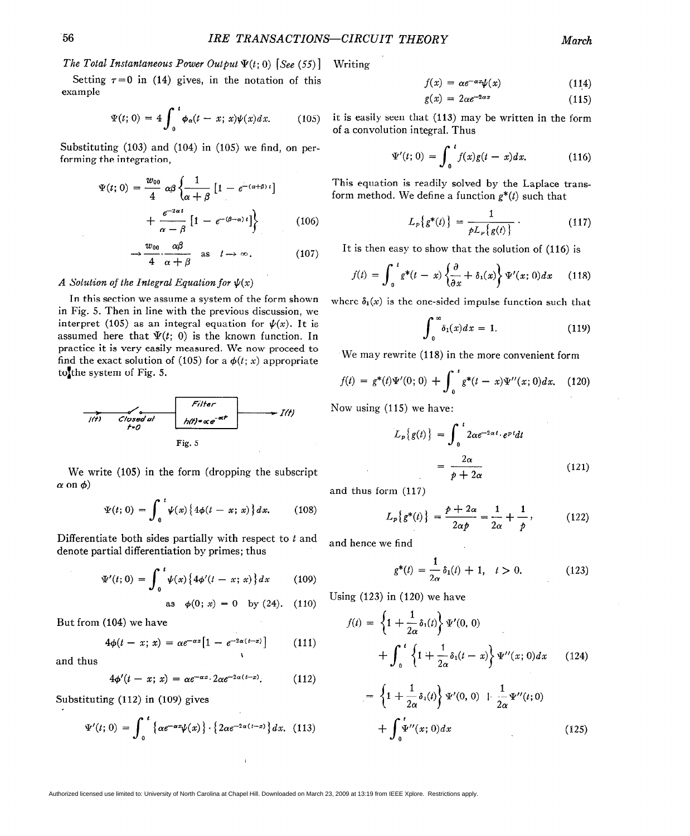**I** he I otal Instantaneous Power Output  $\Psi(t; 0)$  [See (55)] Writin

Setting  $\tau=0$  in (14) gives, in the notation of this example

$$
\Psi(t; 0) = 4 \int_0^t \phi_\alpha(t - x; x) \psi(x) dx.
$$
 (105)

Substituting (103) and (104) in (105) we find, on performing the integration,

$$
\Psi(t; 0) = \frac{w_{00}}{4} \alpha \beta \left\{ \frac{1}{\alpha + \beta} \left[ 1 - e^{-(\alpha + \beta)t} \right] + \frac{e^{-2\alpha t}}{\alpha - \beta} \left[ 1 - e^{-(\beta - \alpha)t} \right] \right\}
$$
(106)

$$
\rightarrow \frac{w_{00}}{4} \cdot \frac{\alpha \beta}{\alpha + \beta} \quad \text{as} \quad t \rightarrow \infty. \tag{107}
$$

## A Solution of the Integral Equation for  $\psi(x)$

In this section we assume a system of the form shown in Fig. 5. Then in line with the previous discussion, we interpret (105) as an integral equation for  $\psi(x)$ . It is assumed here that  $\Psi(t; 0)$  is the known function. In practice it is very easily measured. We now proceed to find the exact solution of (105) for a  $\phi(t; x)$  appropriate to the system of Fig. 5.



We write (105) in the form (dropping the subscript  $\alpha$  on  $\phi$ )

$$
\Psi(t; 0) = \int_0^t \psi(x) \{ 4\phi(t - x; x) \} dx. \qquad (108)
$$

Differentiate both sides partially with respect to  $t$  and denote partial differentiation by primes; thus

$$
\Psi'(t; 0) = \int_0^t \psi(x) \{ 4\phi'(t - x; x) \} dx \qquad (109)
$$

as 
$$
\phi(0; x) = 0
$$
 by (24). (110)

But from (104) we have

$$
4\phi(t-x; x) = \alpha e^{-\alpha x} \big[ 1 - e^{-2\alpha(t-x)} \big] \qquad (111)
$$

and thus

$$
4\phi'(t-x;\,x)\,=\,\alpha e^{-\alpha x}\cdot 2\alpha e^{-2\alpha(t-x)}.\qquad\qquad(112)
$$

Substituting (112) in (109) gives

$$
\Psi'(t; 0) = \int_0^t \left\{ \alpha e^{-\alpha x} \psi(x) \right\} \cdot \left\{ 2\alpha e^{-2\alpha(t-x)} \right\} dx. \tag{113}
$$

$$
f(x) = \alpha e^{-\alpha x} \psi(x) \tag{114}
$$

$$
g(x) = 2\alpha e^{-2\alpha x} \tag{115}
$$

it is easily seen that (113) may be written in the form

ot a convolution integral. Thus  
\n
$$
\Psi'(t; 0) = \int_0^t f(x)g(t-x)dx.
$$
\n(116)

This equation is readily solved by the Laplace transform method. We define a function  $g^*(t)$  such that

$$
L_p\{g^*(t)\} = \frac{1}{pL_p\{g(t)\}}\,. \tag{117}
$$

It is then easy to show that the solution of (116) is

$$
f(t) = \int_0^t g^*(t-x) \left\{ \frac{\partial}{\partial x} + \delta_1(x) \right\} \Psi'(x;0) dx \qquad (118)
$$

where  $\delta_1(x)$  is the one-sided impulse function such that

$$
\int_0^\infty \delta_1(x) dx = 1. \tag{119}
$$

We may rewrite (118) in the more convenient form

$$
f(t) = g^*(t)\Psi'(0; 0) + \int_0^t g^*(t-x)\Psi''(x; 0)dx. \quad (120)
$$

Now using (115) we have:

$$
L_p\{g(t)\} = \int_0^t 2\alpha e^{-2\alpha t} \cdot e^{pt} dt
$$

$$
= \frac{2\alpha}{p+2\alpha} \tag{121}
$$

and thus form (117)

$$
L_p\{g^*(t)\} = \frac{p+2\alpha}{2\alpha p} = \frac{1}{2\alpha} + \frac{1}{p},
$$
 (122)

and hence we find

$$
g^*(t) = \frac{1}{2\alpha} \delta_1(t) + 1, \quad t > 0.
$$
 (123)

Using (123) in (120) we have

$$
f(t) = \left\{1 + \frac{1}{2\alpha}\delta_1(t)\right\}\Psi'(0, 0)
$$

$$
+ \int_0^t \left\{1 + \frac{1}{2\alpha}\delta_1(t - x)\right\}\Psi''(x; 0) dx \qquad (124)
$$

$$
= \left\{1 + \frac{1}{2\alpha}\delta_1(t)\right\}\Psi'(0, 0) + \frac{1}{2\alpha}\Psi''(t; 0) + \int_0^t \Psi''(x; 0)dx
$$
\n(125)

Authorized licensed use limited to: University of North Carolina at Chapel Hill. Downloaded on March 23, 2009 at 13:19 from IEEE Xplore. Restrictions apply.